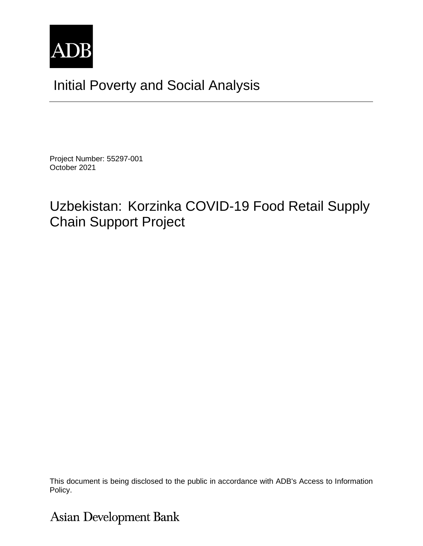

# Initial Poverty and Social Analysis

Project Number: 55297-001 October 2021

## Uzbekistan: Korzinka COVID-19 Food Retail Supply Chain Support Project

This document is being disclosed to the public in accordance with ADB's Access to Information Policy.

**Asian Development Bank**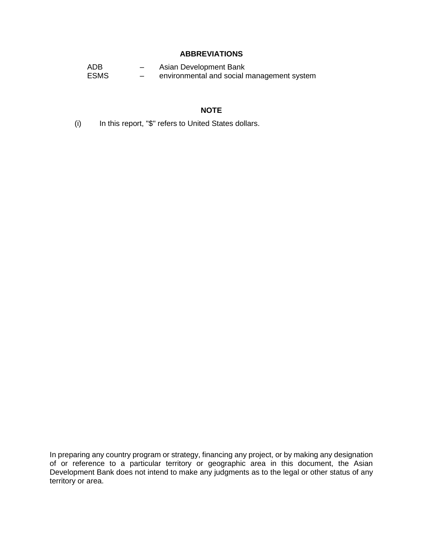### **ABBREVIATIONS**

ADB – Asian Development Bank ESMS – environmental and social management system

#### **NOTE**

(i) In this report, "\$" refers to United States dollars.

In preparing any country program or strategy, financing any project, or by making any designation of or reference to a particular territory or geographic area in this document, the Asian Development Bank does not intend to make any judgments as to the legal or other status of any territory or area.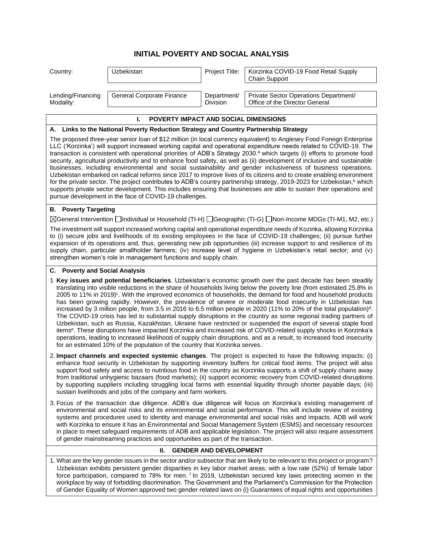### **INITIAL POVERTY AND SOCIAL ANALYSIS**

| Country:                                                                                                                                                                                                                                                                                                                                                                                                                                                                                                                                                                                                                                                                                                                                                                                                                                                                                                                                                                                                                                                                                                                                                                                               | Uzbekistan                                                                      | Project Title:                 | Korzinka COVID-19 Food Retail Supply<br>Chain Support                                                                                                                                                                                                                                                                                                                                                                                                                                                                                                                                                                                                                                                                                                                                                                                                                                                                                                                                                                      |  |  |
|--------------------------------------------------------------------------------------------------------------------------------------------------------------------------------------------------------------------------------------------------------------------------------------------------------------------------------------------------------------------------------------------------------------------------------------------------------------------------------------------------------------------------------------------------------------------------------------------------------------------------------------------------------------------------------------------------------------------------------------------------------------------------------------------------------------------------------------------------------------------------------------------------------------------------------------------------------------------------------------------------------------------------------------------------------------------------------------------------------------------------------------------------------------------------------------------------------|---------------------------------------------------------------------------------|--------------------------------|----------------------------------------------------------------------------------------------------------------------------------------------------------------------------------------------------------------------------------------------------------------------------------------------------------------------------------------------------------------------------------------------------------------------------------------------------------------------------------------------------------------------------------------------------------------------------------------------------------------------------------------------------------------------------------------------------------------------------------------------------------------------------------------------------------------------------------------------------------------------------------------------------------------------------------------------------------------------------------------------------------------------------|--|--|
| Lending/Financing<br>Modality:                                                                                                                                                                                                                                                                                                                                                                                                                                                                                                                                                                                                                                                                                                                                                                                                                                                                                                                                                                                                                                                                                                                                                                         | General Corporate Finance                                                       | Department/<br><b>Division</b> | Private Sector Operations Department/<br>Office of the Director General                                                                                                                                                                                                                                                                                                                                                                                                                                                                                                                                                                                                                                                                                                                                                                                                                                                                                                                                                    |  |  |
|                                                                                                                                                                                                                                                                                                                                                                                                                                                                                                                                                                                                                                                                                                                                                                                                                                                                                                                                                                                                                                                                                                                                                                                                        | POVERTY IMPACT AND SOCIAL DIMENSIONS<br>ı.                                      |                                |                                                                                                                                                                                                                                                                                                                                                                                                                                                                                                                                                                                                                                                                                                                                                                                                                                                                                                                                                                                                                            |  |  |
| A. Links to the National Poverty Reduction Strategy and Country Partnership Strategy                                                                                                                                                                                                                                                                                                                                                                                                                                                                                                                                                                                                                                                                                                                                                                                                                                                                                                                                                                                                                                                                                                                   |                                                                                 |                                |                                                                                                                                                                                                                                                                                                                                                                                                                                                                                                                                                                                                                                                                                                                                                                                                                                                                                                                                                                                                                            |  |  |
|                                                                                                                                                                                                                                                                                                                                                                                                                                                                                                                                                                                                                                                                                                                                                                                                                                                                                                                                                                                                                                                                                                                                                                                                        | pursue development in the face of COVID-19 challenges.                          |                                | The proposed three-year senior loan of \$12 million (in local currency equivalent) to Anglesey Food Foreign Enterprise<br>LLC ('Korzinka') will support increased working capital and operational expenditure needs related to COVID-19. The<br>transaction is consistent with operational priorities of ADB's Strategy 2030. <sup>a</sup> which targets (i) efforts to promote food<br>security, agricultural productivity and to enhance food safety, as well as (ii) development of inclusive and sustainable<br>businesses, including environmental and social sustainability and gender inclusiveness of business operations.<br>Uzbekistan embarked on radical reforms since 2017 to improve lives of its citizens and to create enabling environment<br>for the private sector. The project contributes to ADB's country partnership strategy, 2019-2023 for Uzbekistan, <sup>b</sup> which<br>supports private sector development. This includes ensuring that businesses are able to sustain their operations and |  |  |
| <b>B.</b> Poverty Targeting                                                                                                                                                                                                                                                                                                                                                                                                                                                                                                                                                                                                                                                                                                                                                                                                                                                                                                                                                                                                                                                                                                                                                                            |                                                                                 |                                |                                                                                                                                                                                                                                                                                                                                                                                                                                                                                                                                                                                                                                                                                                                                                                                                                                                                                                                                                                                                                            |  |  |
| ⊠General Intervention □Individual or Household (TI-H) □Geographic (TI-G) □Non-Income MDGs (TI-M1, M2, etc.)                                                                                                                                                                                                                                                                                                                                                                                                                                                                                                                                                                                                                                                                                                                                                                                                                                                                                                                                                                                                                                                                                            |                                                                                 |                                |                                                                                                                                                                                                                                                                                                                                                                                                                                                                                                                                                                                                                                                                                                                                                                                                                                                                                                                                                                                                                            |  |  |
| The investment will support increased working capital and operational expenditure needs of Kozinka, allowing Korzinka<br>to (i) secure jobs and livelihoods of its existing employees in the face of COVID-19 challenges; (ii) pursue further<br>expansion of its operations and, thus, generating new job opportunities (iii) increase support to and resilience of its<br>supply chain, particular smallholder farmers; (iv) increase level of hygiene in Uzbekistan's retail sector; and (v)<br>strengthen women's role in management functions and supply chain.                                                                                                                                                                                                                                                                                                                                                                                                                                                                                                                                                                                                                                   |                                                                                 |                                |                                                                                                                                                                                                                                                                                                                                                                                                                                                                                                                                                                                                                                                                                                                                                                                                                                                                                                                                                                                                                            |  |  |
| C. Poverty and Social Analysis                                                                                                                                                                                                                                                                                                                                                                                                                                                                                                                                                                                                                                                                                                                                                                                                                                                                                                                                                                                                                                                                                                                                                                         |                                                                                 |                                |                                                                                                                                                                                                                                                                                                                                                                                                                                                                                                                                                                                                                                                                                                                                                                                                                                                                                                                                                                                                                            |  |  |
| 1 Key issues and potential beneficiaries. Uzbekistan's economic growth over the past decade has been steadily<br>translating into visible reductions in the share of households living below the poverty line (from estimated 25.8% in<br>2005 to 11% in 2019) <sup>c</sup> . With the improved economics of households, the demand for food and household products<br>has been growing rapidly. However, the prevalence of severe or moderate food insecurity in Uzbekistan has<br>increased by 3 million people, from 3.5 in 2016 to 6.5 million people in 2020 (11% to 20% of the total population) <sup>d</sup> .<br>The COVID-19 crisis has led to substantial supply disruptions in the country as some regional trading partners of<br>Uzbekistan, such as Russia, Kazakhstan, Ukraine have restricted or suspended the export of several staple food<br>items <sup>e</sup> . These disruptions have impacted Korzinka and increased risk of COVID-related supply shocks in Korzinka's<br>operations, leading to increased likelihood of supply chain disruptions, and as a result, to increased food insecurity<br>for an estimated 10% of the population of the country that Korzinka serves. |                                                                                 |                                |                                                                                                                                                                                                                                                                                                                                                                                                                                                                                                                                                                                                                                                                                                                                                                                                                                                                                                                                                                                                                            |  |  |
| 2. Impact channels and expected systemic changes. The project is expected to have the following impacts: (i)<br>enhance food security in Uzbekistan by supporting inventory buffers for critical food items. The project will also<br>support food safety and access to nutritious food in the country as Korzinka supports a shift of supply chains away<br>from traditional unhygienic bazaars (food markets); (ii) support economic recovery from COVID-related disruptions<br>by supporting suppliers including struggling local farms with essential liquidity through shorter payable days; (iii)<br>sustain livelihoods and jobs of the company and farm workers.                                                                                                                                                                                                                                                                                                                                                                                                                                                                                                                               |                                                                                 |                                |                                                                                                                                                                                                                                                                                                                                                                                                                                                                                                                                                                                                                                                                                                                                                                                                                                                                                                                                                                                                                            |  |  |
|                                                                                                                                                                                                                                                                                                                                                                                                                                                                                                                                                                                                                                                                                                                                                                                                                                                                                                                                                                                                                                                                                                                                                                                                        | of gender mainstreaming practices and opportunities as part of the transaction. |                                | 3. Focus of the transaction due diligence. ADB's due diligence will focus on Korzinka's existing management of<br>environmental and social risks and its environmental and social performance. This will include review of existing<br>systems and procedures used to identity and manage environmental and social risks and impacts. ADB will work<br>with Korzinka to ensure it has an Environmental and Social Management System (ESMS) and necessary resources<br>in place to meet safeguard requirements of ADB and applicable legislation. The project will also require assessment                                                                                                                                                                                                                                                                                                                                                                                                                                  |  |  |
| П.<br><b>GENDER AND DEVELOPMENT</b>                                                                                                                                                                                                                                                                                                                                                                                                                                                                                                                                                                                                                                                                                                                                                                                                                                                                                                                                                                                                                                                                                                                                                                    |                                                                                 |                                |                                                                                                                                                                                                                                                                                                                                                                                                                                                                                                                                                                                                                                                                                                                                                                                                                                                                                                                                                                                                                            |  |  |
| 1. What are the key gender issues in the sector and/or subsector that are likely to be relevant to this project or program?<br>Uzbekistan exhibits persistent gender disparities in key labor market areas, with a low rate (52%) of female labor<br>force participation, compared to 78% for men. <sup>f</sup> In 2019, Uzbekistan secured key laws protecting women in the<br>workplace by way of forbidding discrimination. The Government and the Parliament's Commission for the Protection<br>of Gender Equality of Women approved two gender-related laws on (i) Guarantees of equal rights and opportunities                                                                                                                                                                                                                                                                                                                                                                                                                                                                                                                                                                                   |                                                                                 |                                |                                                                                                                                                                                                                                                                                                                                                                                                                                                                                                                                                                                                                                                                                                                                                                                                                                                                                                                                                                                                                            |  |  |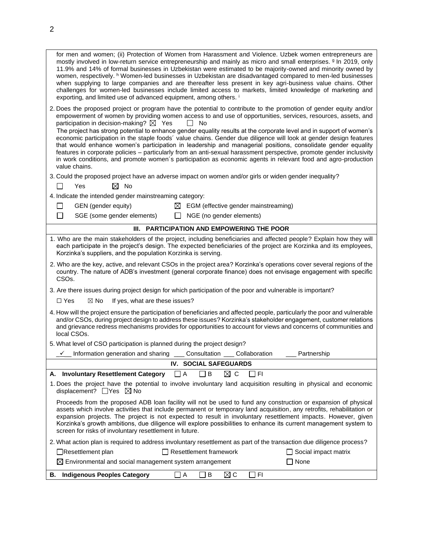| for men and women; (ii) Protection of Women from Harassment and Violence. Uzbek women entrepreneurs are<br>mostly involved in low-return service entrepreneurship and mainly as micro and small enterprises. <sup>9</sup> In 2019, only<br>11.9% and 14% of formal businesses in Uzbekistan were estimated to be majority-owned and minority owned by<br>women, respectively. <sup>h</sup> Women-led businesses in Uzbekistan are disadvantaged compared to men-led businesses<br>when supplying to large companies and are thereafter less present in key agri-business value chains. Other<br>challenges for women-led businesses include limited access to markets, limited knowledge of marketing and<br>exporting, and limited use of advanced equipment, among others.<br>2. Does the proposed project or program have the potential to contribute to the promotion of gender equity and/or |  |  |  |  |  |
|---------------------------------------------------------------------------------------------------------------------------------------------------------------------------------------------------------------------------------------------------------------------------------------------------------------------------------------------------------------------------------------------------------------------------------------------------------------------------------------------------------------------------------------------------------------------------------------------------------------------------------------------------------------------------------------------------------------------------------------------------------------------------------------------------------------------------------------------------------------------------------------------------|--|--|--|--|--|
| empowerment of women by providing women access to and use of opportunities, services, resources, assets, and<br>participation in decision-making? $\boxtimes$ Yes<br>No<br>The project has strong potential to enhance gender equality results at the corporate level and in support of women's<br>economic participation in the staple foods' value chains. Gender due diligence will look at gender design features<br>that would enhance women's participation in leadership and managerial positions, consolidate gender equality<br>features in corporate policies - particularly from an anti-sexual harassment perspective, promote gender inclusivity<br>in work conditions, and promote women's participation as economic agents in relevant food and agro-production<br>value chains.                                                                                                   |  |  |  |  |  |
| 3. Could the proposed project have an adverse impact on women and/or girls or widen gender inequality?                                                                                                                                                                                                                                                                                                                                                                                                                                                                                                                                                                                                                                                                                                                                                                                            |  |  |  |  |  |
| $\boxtimes$ No<br>Yes                                                                                                                                                                                                                                                                                                                                                                                                                                                                                                                                                                                                                                                                                                                                                                                                                                                                             |  |  |  |  |  |
| 4. Indicate the intended gender mainstreaming category:                                                                                                                                                                                                                                                                                                                                                                                                                                                                                                                                                                                                                                                                                                                                                                                                                                           |  |  |  |  |  |
| GEN (gender equity)<br>$\Box$<br>$\boxtimes$ EGM (effective gender mainstreaming)                                                                                                                                                                                                                                                                                                                                                                                                                                                                                                                                                                                                                                                                                                                                                                                                                 |  |  |  |  |  |
| $\Box$<br>SGE (some gender elements)<br>NGE (no gender elements)<br>$\perp$                                                                                                                                                                                                                                                                                                                                                                                                                                                                                                                                                                                                                                                                                                                                                                                                                       |  |  |  |  |  |
| III. PARTICIPATION AND EMPOWERING THE POOR                                                                                                                                                                                                                                                                                                                                                                                                                                                                                                                                                                                                                                                                                                                                                                                                                                                        |  |  |  |  |  |
| 1. Who are the main stakeholders of the project, including beneficiaries and affected people? Explain how they will<br>each participate in the project's design. The expected beneficiaries of the project are Korzinka and its employees,<br>Korzinka's suppliers, and the population Korzinka is serving.                                                                                                                                                                                                                                                                                                                                                                                                                                                                                                                                                                                       |  |  |  |  |  |
| 2. Who are the key, active, and relevant CSOs in the project area? Korzinka's operations cover several regions of the<br>country. The nature of ADB's investment (general corporate finance) does not envisage engagement with specific<br>CSO <sub>s</sub> .                                                                                                                                                                                                                                                                                                                                                                                                                                                                                                                                                                                                                                     |  |  |  |  |  |
| 3. Are there issues during project design for which participation of the poor and vulnerable is important?                                                                                                                                                                                                                                                                                                                                                                                                                                                                                                                                                                                                                                                                                                                                                                                        |  |  |  |  |  |
| $\boxtimes$ No<br>$\Box$ Yes<br>If yes, what are these issues?                                                                                                                                                                                                                                                                                                                                                                                                                                                                                                                                                                                                                                                                                                                                                                                                                                    |  |  |  |  |  |
| 4. How will the project ensure the participation of beneficiaries and affected people, particularly the poor and vulnerable<br>and/or CSOs, during project design to address these issues? Korzinka's stakeholder engagement, customer relations<br>and grievance redress mechanisms provides for opportunities to account for views and concerns of communities and<br>local CSOs.                                                                                                                                                                                                                                                                                                                                                                                                                                                                                                               |  |  |  |  |  |
| 5. What level of CSO participation is planned during the project design?                                                                                                                                                                                                                                                                                                                                                                                                                                                                                                                                                                                                                                                                                                                                                                                                                          |  |  |  |  |  |
| $\angle$ Information generation and sharing<br>Partnership<br>$\_$ Consultation $\_$<br>Collaboration                                                                                                                                                                                                                                                                                                                                                                                                                                                                                                                                                                                                                                                                                                                                                                                             |  |  |  |  |  |
| IV. SOCIAL SAFEGUARDS                                                                                                                                                                                                                                                                                                                                                                                                                                                                                                                                                                                                                                                                                                                                                                                                                                                                             |  |  |  |  |  |
| A. Involuntary Resettlement Category<br>$\Box$ B<br>⊠с<br>$\Box$ A<br>$\Box$ FI                                                                                                                                                                                                                                                                                                                                                                                                                                                                                                                                                                                                                                                                                                                                                                                                                   |  |  |  |  |  |
| 1. Does the project have the potential to involve involuntary land acquisition resulting in physical and economic<br>displacement? $\Box$ Yes $\boxtimes$ No                                                                                                                                                                                                                                                                                                                                                                                                                                                                                                                                                                                                                                                                                                                                      |  |  |  |  |  |
| Proceeds from the proposed ADB loan facility will not be used to fund any construction or expansion of physical<br>assets which involve activities that include permanent or temporary land acquisition, any retrofits, rehabilitation or<br>expansion projects. The project is not expected to result in involuntary resettlement impacts. However, given<br>Korzinka's growth ambitions, due diligence will explore possibilities to enhance its current management system to<br>screen for risks of involuntary resettlement in future.                                                                                                                                                                                                                                                                                                                                                        |  |  |  |  |  |
| 2. What action plan is required to address involuntary resettlement as part of the transaction due diligence process?                                                                                                                                                                                                                                                                                                                                                                                                                                                                                                                                                                                                                                                                                                                                                                             |  |  |  |  |  |
| $\Box$ Resettlement framework<br>□Resettlement plan<br>$\Box$ Social impact matrix                                                                                                                                                                                                                                                                                                                                                                                                                                                                                                                                                                                                                                                                                                                                                                                                                |  |  |  |  |  |
| $\boxtimes$ Environmental and social management system arrangement<br>$\Box$ None                                                                                                                                                                                                                                                                                                                                                                                                                                                                                                                                                                                                                                                                                                                                                                                                                 |  |  |  |  |  |
| <b>B.</b> Indigenous Peoples Category<br>$\Box$ B<br>$\boxtimes$ C<br>FI<br>$\Box$ A                                                                                                                                                                                                                                                                                                                                                                                                                                                                                                                                                                                                                                                                                                                                                                                                              |  |  |  |  |  |